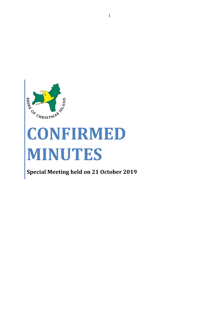

# **CONFIRMED MINUTES**

**Special Meeting held on 21 October 2019**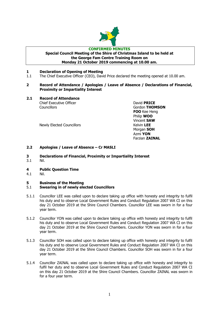

#### **CONFIRMED MINUTES Special Council Meeting of the Shire of Christmas Island to be held at the George Fam Centre Training Room on Monday 21 October 2019 commencing at 10.00 am.**

# **1 Declaration of Opening of Meeting**

1.1 The Chief Executive Officer (CEO), David Price declared the meeting opened at 10.00 am.

# **2 Record of Attendance / Apologies / Leave of Absence / Declarations of Financial, Proximity or Impartiality Interest**

**2.1 Record of Attendance**

**Chief Executive Officer Chief Executive Officer** Councillors Gordon **THOMSON**

Newly Elected Councillors **Kelvin LEE** 

**FOO** Kee Heng Philip **WOO** Vincent **SAW** Morgan **SOH** Azmi **YON** Farzian **ZAINAL**

# **2.2 Apologies / Leave of Absence – Cr MASLI**

- **3 Declarations of Financial, Proximity or Impartiality Interest**
- 3.1 Nil.
- **4 Public Question Time**
- 4.1 Nil.

# **5 Business of the Meeting**

# 5.1 **Swearing in of newly elected Councillors**

- 5.1.1 Councillor LEE was called upon to declare taking up office with honesty and integrity to fulfil his duty and to observe Local Government Rules and Conduct Regulation 2007 WA CI on this day 21 October 2019 at the Shire Council Chambers. Councillor LEE was sworn in for a four year term.
- 5.1.2 Councillor YON was called upon to declare taking up office with honesty and integrity to fulfil his duty and to observe Local Government Rules and Conduct Regulation 2007 WA CI on this day 21 October 2019 at the Shire Council Chambers. Councillor YON was sworn in for a four year term.
- 5.1.3 Councillor SOH was called upon to declare taking up office with honesty and integrity to fulfil his duty and to observe Local Government Rules and Conduct Regulation 2007 WA CI on this day 21 October 2019 at the Shire Council Chambers. Councillor SOH was sworn in for a four year term.
- 5.1.4 Councillor ZAINAL was called upon to declare taking up office with honesty and integrity to fulfil her duty and to observe Local Government Rules and Conduct Regulation 2007 WA CI on this day 21 October 2019 at the Shire Council Chambers. Councillor ZAINAL was sworn in for a four year term.